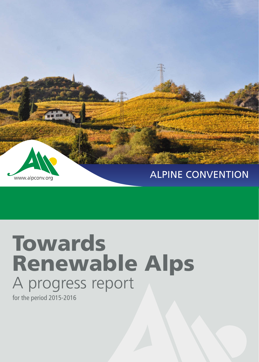

### ALPINE CONVENTION

# **Towards** Renewable Alps A progress report

for the period 2015-2016

www.alpconv.org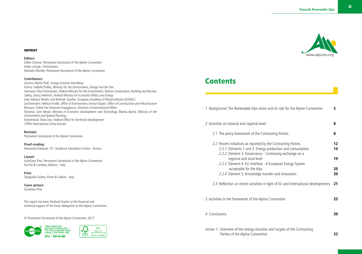# www.alpconv.org

## **Contents**

| 1 Background: The Renewable Alps vision and its role for the Alpine Convention                                                                                                       | 5             |
|--------------------------------------------------------------------------------------------------------------------------------------------------------------------------------------|---------------|
| 2 Activities at national and regional level                                                                                                                                          | 8             |
| 2.1 The policy framework of the Contracting Parties                                                                                                                                  | 8             |
| 2.2 Recent initiatives as reported by the Contracting Parties<br>2.2.1 Elements 1 and 2: Energy production and consumption<br>2.2.2 Element 3: Governance - Continuing exchange on a | $12 \,$<br>14 |
| regional and local level                                                                                                                                                             | 19            |
| 2.2.3 Element 4: EU interface - A European Energy System<br>acceptable for the Alps<br>2.2.4 Element 5: Knowledge transfer and innovation                                            | 20<br>20      |
| 2.3 Reflection on recent activities in light of EU and international developments                                                                                                    | 21            |
| 3 Activities in the framework of the Alpine Convention                                                                                                                               | 25            |
| 4 Conclusions                                                                                                                                                                        | 30            |
| Annex 1: Overview of the energy situation and targets of the Contracting<br>Parties of the Alpine Convention                                                                         | 32            |

#### IMPRINT

#### **Editors:**

Gilles Chomat, Permanent Secretariat of the Alpine Convention Helen Lückge, Climonomics Nathalie Morelle, Permanent Secretariat of the Alpine Convention

#### **Contributors:**

Austria: Martin Ploß, Energy Institute Vorarlberg France: Isabelle Paillet, Ministry for the Environment, Energy and the Sea Germany: Eike Christiansen, Federal Ministry for the Environment, Nature Conservation, Building and Nuclear Safety, Georg Hellmich, Federal Ministry for Economic Affairs and Energy Italy: Adriano Bisello and Wolfram Sparber, European Academy of Bolzano/Bozen (EURAC) Liechtenstein: Helmut Kindle, Office of Environment, Denise Ospelt, Office of Construction and Infrastructure Monaco: Céline Van Klaveren-Impagliazzo, Direction of International Affairs Slovenia: Jože Nerad, Ministry of Economic Development and Technology, Blanka Bartol, Ministry of the Environment and Spatial Planning Switzerland: Silvia Jost, Federal Office for Territorial Development CIPRA International: Anita Konrad

#### **Revision:**

Permanent Secretariat of the Alpine Convention

**Proof-reading:** Alexandra Edwards, ITC- Innsbruck Translation Centre - Austria

**Layout:** Aureliano Piva, Permanent Secretariat of the Alpine Convention De Poli & Cometto, Belluno - Italy

**Print:** Tipografia Tiziano, Pieve di Cadore - Italy

**Cover picture:** Aureliano Piva

This report has been finalized thanks to the financial and technical support of the Swiss delegation to the Alpine Convention.

© Permanent Secretariat of the Alpine Convention, 2017

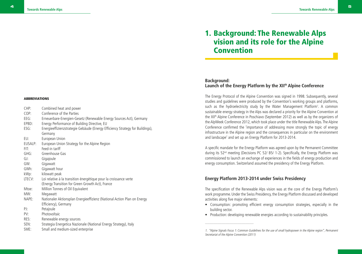| CHP:<br>COP:<br>$EEG$ :<br>EPBD:<br>ESG: | Combined heat and power<br>Conference of the Parties<br>Erneuerbare-Energien-Gesetz (Renewable Energy Sources Act), Germany<br>Energy Performance of Building Directive, EU<br>Energieeffizienzstrategie Gebäude (Energy Efficiency Strategy for Buildings), |
|------------------------------------------|--------------------------------------------------------------------------------------------------------------------------------------------------------------------------------------------------------------------------------------------------------------|
|                                          | Germany                                                                                                                                                                                                                                                      |
| EU:                                      | European Union                                                                                                                                                                                                                                               |
| EUSALP:                                  | European Union Strategy for the Alpine Region                                                                                                                                                                                                                |
| FIT:                                     | Feed-in tariff                                                                                                                                                                                                                                               |
| GHG:                                     | Greenhouse Gas                                                                                                                                                                                                                                               |
| GJ:                                      | Gigajoule                                                                                                                                                                                                                                                    |
| GW:                                      | Gigawatt                                                                                                                                                                                                                                                     |
| GWh:                                     | Gigawatt hour                                                                                                                                                                                                                                                |
| kWp:                                     | kilowatt peak                                                                                                                                                                                                                                                |
| LTECV:                                   | Loi relative à la transition énergétique pour la croissance verte                                                                                                                                                                                            |
|                                          | (Energy Transition for Green Growth Act), France                                                                                                                                                                                                             |
| Mtoe:                                    | Million Tonnes of Oil Equivalent                                                                                                                                                                                                                             |
| MW:                                      | Megawatt                                                                                                                                                                                                                                                     |
| NAPE:                                    | Nationaler Aktionsplan Energieeffizienz (National Action Plan on Energy                                                                                                                                                                                      |
| PI:                                      | Efficiency), Germany                                                                                                                                                                                                                                         |
|                                          | Petajoule                                                                                                                                                                                                                                                    |
| PV:                                      | Photovoltaic                                                                                                                                                                                                                                                 |
| RES:                                     | Renewable energy sources                                                                                                                                                                                                                                     |
| SEN:                                     | Strategia Energetica Nazionale (National Energy Strategy), Italy                                                                                                                                                                                             |
| SME:                                     | Small and medium-sized enterprise                                                                                                                                                                                                                            |

## 1. Background: The Renewable Alps vision and its role for the Alpine Convention

#### **Background: Launch of the Energy Platform by the XIIth Alpine Conference**

The Energy Protocol of the Alpine Convention was signed in 1998. Subsequently, several studies and guidelines were produced by the Convention's working groups and platforms, such as the hydroelectricity study by the Water Management Platform<sup>1</sup>. A common sustainable energy strategy in the Alps was declared a priority for the Alpine Convention at the XII<sup>th</sup> Alpine Conference in Poschiavo (September 2012) as well as by the organizers of the AlpWeek Conference 2012, which took place under the title Renewable Alps. The Alpine Conference confirmed the 'importance of addressing more strongly the topic of energy infrastructure in the Alpine region and the consequences in particular on the environment and landscape' and set up an Energy Platform for 2013-2014.

A specific mandate for the Energy Platform was agreed upon by the Permanent Committee during its 52nd meeting (Decisions PC 52/ B5/ 1-2). Specifically, the Energy Platform was commissioned to launch an exchange of experiences in the fields of energy production and energy consumption. Switzerland assumed the presidency of the Energy Platform.

#### **Energy Platform 2013-2014 under Swiss Presidency**

\_\_\_\_\_\_\_\_\_\_\_\_\_\_\_\_\_\_\_\_\_\_\_\_

The specification of the Renewable Alps vision was at the core of the Energy Platform's work programme. Under the Swiss Presidency, the Energy Platform discussed and developed activities along five major elements:

- Consumption: promoting efficient energy consumption strategies, especially in the building sector.
- Production: developing renewable energies according to sustainability principles.

<sup>1. &</sup>quot;Alpine Signals Focus 1: Common Guidelines for the use of small hydropower in the Alpine region", Permanent Secretariat of the Alpine Convention (2011)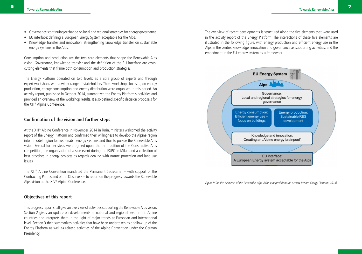- Governance: continuing exchange on local and regional strategies for energy governance.
- EU interface: defining a European Energy System acceptable for the Alps.
- Knowledge transfer and innovation: strengthening knowledge transfer on sustainable energy systems in the Alps.

Consumption and production are the two core elements that shape the Renewable Alps vision. Governance, knowledge transfer and the definition of the EU interface are crosscutting elements that frame both consumption and production strategies.

The Energy Platform operated on two levels: as a core group of experts and through expert workshops with a wider range of stakeholders. Three workshops focusing on energy production, energy consumption and energy distribution were organised in this period. An activity report, published in October 2014, summarized the Energy Platform's activities and provided an overview of the workshop results. It also defined specific decision proposals for the XIII<sup>th</sup> Alpine Conference.

#### **Confirmation of the vision and further steps**

At the XIII<sup>th</sup> Alpine Conference in November 2014 in Turin, ministers welcomed the activity report of the Energy Platform and confirmed their willingness to develop the Alpine region into a model region for sustainable energy systems and thus to pursue the Renewable Alps vision. Several further steps were agreed upon: the third edition of the Constructive Alps competition, the organisation of a side event during the EXPO in Milan and a collection of best practices in energy projects as regards dealing with nature protection and land use issues.

The XIII<sup>th</sup> Alpine Convention mandated the Permanent Secretariat – with support of the Contracting Parties and of the Observers – to report on the progress towards the Renewable Alps vision at the XIV<sup>th</sup> Alpine Conference.

#### **Objectives of this report**

This progress report shall give an overview of activities supporting the Renewable Alps vision. Section 2 gives an update on developments at national and regional level in the Alpine countries and interprets them in the light of major trends at European and international level. Section 3 then summarizes activities that have been undertaken as a follow-up of the Energy Platform as well as related activities of the Alpine Convention under the German Presidency.

The overview of recent developments is structured along the five elements that were used in the activity report of the Energy Platform. The interactions of these five elements are illustrated in the following figure, with energy production and efficient energy use in the Alps in the centre; knowledge, innovation and governance as supporting activities; and the embedment in the EU energy system as a framework.



Figure1: The five elements of the Renewable Alps vision (adapted from the Activity Report, Energy Platform, 2014).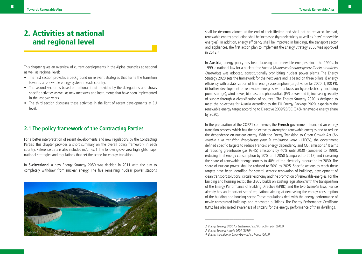## 2. Activities at national and regional level

This chapter gives an overview of current developments in the Alpine countries at national as well as regional level:

- The first section provides a background on relevant strategies that frame the transition towards a renewable energy system in each country.
- The second section is based on national input provided by the delegations and shows specific activities as well as new measures and instruments that have been implemented in the last two years.
- The third section discusses these activities in the light of recent developments at EU level.

#### **2.1 The policy framework of the Contracting Parties**

For a better interpretation of recent developments and new regulations by the Contracting Parties, this chapter provides a short summary on the overall policy framework in each country. Reference data is also included in Annex 1. The following overview highlights major national strategies and regulations that set the scene for energy transition.

In **Switzerland**, a new Energy Strategy 2050 was decided in 2011 with the aim to completely withdraw from nuclear energy. The five remaining nuclear power stations



shall be decommissioned at the end of their lifetime and shall not be replaced. Instead, renewable energy production shall be increased (hydroelectricity as well as 'new' renewable energies). In addition, energy efficiency shall be improved in buildings, the transport sector and appliances. The first action plan to implement the Energy Strategy 2050 was approved in 2012.<sup>2</sup>

In **Austria**, energy policy has been focusing on renewable energies since the 1990s. In 1999, a national law for a nuclear-free Austria (Bundesverfassungsgesetz für ein atomfreies Österreich) was adopted, constitutionally prohibiting nuclear power plants. The Energy Strategy 2020 sets the framework for the next years and is based on three pillars: i) energy efficiency with a stabilization of final energy consumption (target value for 2020: 1,100 PJ), ii) further development of renewable energies with a focus on hydroelectricity (including pump storage), wind power, biomass and photovoltaic (PV) power and iii) increasing security of supply through a diversification of sources.<sup>3</sup> The Energy Strategy 2020 is designed to meet the objectives for Austria according to the EU Energy Package 2020, especially the renewable energy target according to Directive 2009/28/EC (34% renewable energy share by 2020).

In the preparation of the COP21 conference, the **French** government launched an energy transition process, which has the objective to strengthen renewable energies and to reduce the dependence on nuclear energy. With the Energy Transition to Green Growth Act (Loi relative à la transition énergétique pour la croissance verte - LTECV), the government defined specific targets to reduce France's energy dependency and CO<sub>2</sub> emissions.<sup>4</sup> It aims at reducing greenhouse gas (GHG) emissions by 40% until 2030 (compared to 1990), reducing final energy consumption by 50% until 2050 (compared to 2012) and increasing the share of renewable energy sources to 40% of the electricity production by 2030. The share of nuclear power shall be reduced to 50% by 2025. Specific actions to reach these targets have been identified for several sectors: renovation of buildings, development of clean transport solutions, circular economy and the promotion of renewable energies. For the building and housing sector, the LTECV builds on existing legislation: With the transposition of the Energy Performance of Building Directive (EPBD) and the two Grenelle laws, France already has an important set of regulations aiming at decreasing the energy consumption of the building and housing sector. Those regulations deal with the energy performance of newly constructed buildings and renovated buildings. The Energy Performance Certificate (EPC) has also raised awareness of citizens for the energy performance of their dwellings.

2. Energy Strategy 2050 for Switzerland and first action plan (2012)

3. Energy Strategy Austria 2020 (2010)

<sup>4.</sup> Energy transition to Green Growth Act, France (2015)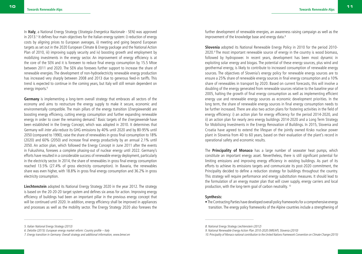In **Italy**, a National Energy Strategy (Strategia Energetica Nazionale - SEN) was approved in 2013.<sup>5</sup> It defines four main objectives for the Italian energy system: i) reduction of energy costs by aligning prices to European averages, ii) meeting and going beyond European targets as set out in the 2020 European Climate & Energy package and the National Action Plan of 2010, iii) improving supply security and iv) boosting growth and employment by mobilizing investments in the energy sector. An improvement of energy efficiency is at the core of the SEN and it is foreseen to reduce final energy consumption by 15.5 Mtoe between 2011 and 2020. The SEN also foresees further support to increase the share of renewable energies. The development of non-hydroelectricity renewable energy production has increased very sharply between 2008 and 2013 due to generous feed-in tariffs. This trend is expected to continue in the coming years, but Italy will still remain dependent on energy imports.<sup>6</sup>

**Germany** is implementing a long-term overall strategy that embraces all sectors of the economy and aims to restructure the energy supply to make it secure, economic and environmentally compatible. The main pillars of the energy transition (*Energiewende*) are boosting energy efficiency, cutting energy consumption and further expanding renewable energy in order to cover the remaining demand.<sup>7</sup> Basic targets of the *Energiewende* have been established in the Energy Concept, which was adopted in 2010. It determines that Germany will inter alia reduce its GHG emissions by 40% until 2020 and by 80-95% until 2050 (compared to 1990), raise the share of renewables in gross final consumption to 18% (2020) and 60% (2050) and increase final energy productivity by an annual 2.1% until 2050. An action plan, which followed the Energy Concept in June 2011 after the events in Fukushima, foresees a complete phasing-out of nuclear energy until 2022. Germany's efforts have resulted in a considerable success of renewable energy deployment, particularly in the electricity sector. In 2014, the share of renewables in gross final energy consumption reached 13.5% (27.4% of gross electricity consumption). In Bavaria, the renewables share was even higher, with 18.8% in gross final energy consumption and 36.2% in gross electricity consumption.

**Liechtenstein** adopted its National Energy Strategy 2020 in the year 2012. The strategy is based on the 20-20-20 target system and defines six areas for action. Improving energy efficiency of buildings had been an important pillar in the previous energy concept that will be continued until 2020. In addition, energy efficiency shall be improved in appliances and processes as well as the mobility sector. The Energy Strategy 2020 also foresees the

**Slovenia** adopted its National Renewable Energy Policy in 2010 for the period 2010- 2020.9 The most important renewable source of energy in the country is wood biomass, followed by hydropower. In recent years, development has been most dynamic in exploiting solar energy and biogas. The potential of these energy sources, plus wind and geothermal energy, is likely to contribute to increased consumption of renewable energy sources. The objectives of Slovenia's energy policy for renewable energy sources are to ensure a 25% share of renewable energy sources in final energy consumption and a 10% share of renewables in transport by 2020. Based on current forecasts, this will involve a doubling of the energy generated from renewable sources relative to the baseline year of 2005, halting the growth of final energy consumption as well as implementing efficient energy use and renewable energy sources as economic development priorities. In the long term, the share of renewable energy sources in final energy consumption needs to be further increased. There are also two action plans for fostering activities in the field of energy efficiency: i) an action plan for energy efficiency for the period 2014-2020, and ii) an action plan for nearly zero energy buildings 2014-2020 and a Long Term Strategy for Mobilising Investments in the Energy Renovation of Buildings. In 2015, Slovenia and Croatia have agreed to extend the lifespan of the jointly owned Krsko nuclear power plant in Slovenia from 40 to 60 years, based on their evaluation of the plant's record in operational safety and economic results.

The **Principality of Monaco** has a large number of seawater heat pumps, which constitute an important energy asset. Nevertheless, there is still significant potential for limiting emissions and improving energy efficiency in existing buildings. As part of its efforts to achieve its emissions targets and communicate its post-2020 commitment, the Principality decided to define a reduction strategy for buildings throughout the country. This strategy will require performance and energy substitution measures. It should lead to the formulation of an energy master plan that will cover supply, energy carriers and local production, with the long-term goal of carbon neutrality. 10

#### **Synthesis:**

• The Contracting Parties have developed overall policy frameworks for a comprehensive energy transition. The energy policy frameworks of the Alpine countries include a strengthening of

\_\_\_\_\_\_\_\_\_\_\_\_\_\_\_\_\_\_\_\_\_\_\_\_

further development of renewable energies, an awareness raising campaign as well as the improvement of the knowledge base and energy data.<sup>8</sup>

<sup>5.</sup> Italian National Energy Strategy (2013)

<sup>6.</sup> Deloitte (2015): European energy market reform: Country profile – Italy

<sup>7.</sup> Energy transition in Germany: Overall strategy and additional information, www.bmwi.en

<sup>8.</sup> National Energy Strategy Liechtenstein (2012)

<sup>9.</sup> National Renewable Energy Action Plan 2010-2020 (NREAP), Slovenia (2010)

<sup>10.</sup> Principality of Monaco national contribution to the United Nations Framework Convention on Climate Change (2015)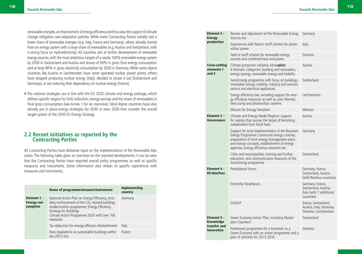renewable energies, an improvement of energy efficiency and thus also the support of climate change mitigation and adaptation policies. While some Contracting Parties initially had a lower share of renewable energies (e.g. Italy, France and Germany), others already started from an energy system with a large share of renewables (e.g. Austria and Switzerland, with a strong focus on hydroelectricity). All countries aim at further development of renewable energy sources, with the most ambitious targets of a nearly 100% renewable energy system by 2050 in Switzerland and Austria and shares of 60% in gross final energy consumption and at least 80% in gross electricity consumption by 2050 in Germany. While some Alpine countries like Austria or Liechtenstein have never operated nuclear power plants, others have stopped producing nuclear energy (Italy), decided to phase it out (Switzerland and Germany), or are reducing their dependency on nuclear energy (France).

• The national strategies are in line with the EU 2020 climate and energy package, which defines specific targets for GHG reduction, energy savings and the share of renewables in final gross consumption (see Annex 1 for an overview). Most Alpine countries have also already put in place energy strategies for 2030 or even 2050 that consider the overall target system of the 2030 EU Energy Strategy.

#### **2.2 Recent initiatives as reported by the Contracting Parties**

All Contracting Parties have delivered input on the implementation of the Renewable Alps vision. The following table gives an overview on the reported developments. It can be seen that the Contracting Parties have reported overall policy programmes as well as specific measures and instruments. Some information also relates to specific experiences with measures and instruments.

|                                               | Name of programme/measure/instrument                                                                                                                                                                                                              | <b>Implementing</b><br>country |  |
|-----------------------------------------------|---------------------------------------------------------------------------------------------------------------------------------------------------------------------------------------------------------------------------------------------------|--------------------------------|--|
| Element 1 -<br><b>Energy con-</b><br>sumption | National Action Plan on Energy Efficiency, inclu-<br>ding reinforcement of the $CO2$ -related buildings<br>modernisation programme; Energy Efficiency<br><b>Strategy for Buildings</b><br>Climate Action Programme 2020 with over 100<br>measures | Germany                        |  |
|                                               | Tax deduction for energy-efficient refurbishments                                                                                                                                                                                                 | Italy                          |  |
|                                               | New regulations on sustainable buildings within<br>the LTECV Act                                                                                                                                                                                  | France                         |  |

|  | Element 2 -<br><b>Energy</b><br>production             | Review and adjustment of the Renewable Energy<br>Sources Act                                                                                                                                                                                | Germany                                                                             |
|--|--------------------------------------------------------|---------------------------------------------------------------------------------------------------------------------------------------------------------------------------------------------------------------------------------------------|-------------------------------------------------------------------------------------|
|  |                                                        | Experiences with feed-in tariff scheme for photo-<br>voltaic power                                                                                                                                                                          | Italy                                                                               |
|  |                                                        | Feed-in tariff scheme for renewable energy<br>sources and combined heat and power                                                                                                                                                           | Slovenia                                                                            |
|  | <b>Cross-cutting</b><br>elements 1<br>and <sub>2</sub> | Climate protection initiative klimaaktiv<br>4 thematic categories: building and renovation,<br>energy savings, renewable energy and mobility                                                                                                | Austria                                                                             |
|  |                                                        | SwissEnergy programme with focus on buildings,<br>renewable energy, mobility, industry and services<br>sectors and electrical appliances                                                                                                    | Switzerland                                                                         |
|  |                                                        | Energy efficiency law, including support for ener-<br>gy efficiency measures as well as solar thermal,<br>heat pump and photovoltaic systems                                                                                                | Liechtenstein                                                                       |
|  |                                                        | Mission for Energy Transition                                                                                                                                                                                                               | Monaco                                                                              |
|  | Element 3 -<br>Governance                              | Climate and Energy Model Regions: support<br>for regions that pursue the target of becoming<br>independent from fossil fuels                                                                                                                | Austria                                                                             |
|  |                                                        | Support for local implementation of the Bavarian<br>Energy Programme: communal energy coaches,<br>preparation of local energy management plans<br>and energy concepts, establishment of energy<br>agencies, energy efficiency networks etc. | Germany                                                                             |
|  |                                                        | Cities and municipalities, training and further<br>education, and communication measures of the<br>SwissEnergy programme                                                                                                                    | Switzerland                                                                         |
|  | Element 4 -<br><b>EU</b> Interface                     | Pentalateral Forum                                                                                                                                                                                                                          | Germany, France,<br>Switzerland, Austria<br>(with Benelux countries)                |
|  |                                                        | <b>Electricity Neighbours</b>                                                                                                                                                                                                               | Germany, France,<br>Switzerland, Austria,<br>Italy (with 7 additional<br>countries) |
|  |                                                        | <b>EUSALP</b>                                                                                                                                                                                                                               | France, Switzerland,<br>Austria, Italy, Germany,<br>Slovenia, Liechtenstein         |
|  | <b>Element 5 -</b><br>Knowledge                        | Green Economy Action Plan, including Master-<br>plan Cleantech                                                                                                                                                                              | Switzerland                                                                         |
|  | transfer and<br>innovation                             | Framework programme for a transition to a<br>Green Economy with an action programme and a<br>plan of activities for 2015-2016                                                                                                               | Slovenia                                                                            |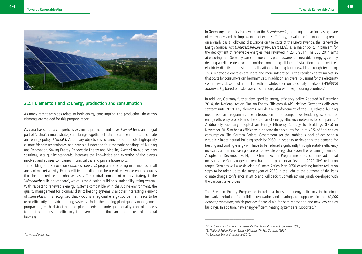

#### **2.2.1 Elements 1 and 2: Energy production and consumption**

As many recent activities relate to both energy consumption and production, these two elements are merged for this progress report.

**Austria** has set up a comprehensive climate protection initiative. klima**aktiv** is an integral part of Austria's climate strategy and brings together all activities at the interface of climate and energy policy. klima**aktiv**'s primary objective is to launch and promote high-quality climate-friendly technologies and services. Under the four thematic headings of Building and Renovation, Saving Energy, Renewable Energy and Mobility, klima**aktiv** outlines new solutions, sets quality standards, increases the knowledge and expertise of the players involved and advises companies, municipalities and private households.

The Building and Renovation (*Bauen & Sanieren*) programme is being implemented in all areas of market activity. Energy-efficient building and the use of renewable energy sources thus help to reduce greenhouse gases. The central component of this strategy is the 'klima**aktiv** building standard', which is the Austrian building sustainability rating system. With respect to renewable energy systems compatible with the Alpine environment, the quality management for biomass district heating systems is another interesting element of klima**aktiv**. It is recognised that wood is a regional energy source that needs to be used efficiently in district heating systems. Under the heating plant quality management programme, each district heating plant needs to undergo a quality control process to identify options for efficiency improvements and thus an efficient use of regional biomass.11

In **Germany**, the policy framework for the Energiewende, including both an increasing share of renewables and the improvement of energy efficiency, is evaluated in a monitoring report on a yearly basis. Following discussions on the costs of the Energiewende, the Renewable Energy Sources Act (Erneuerbare-Energien-Gesetz EEG), as a major policy instrument for the deployment of renewable energies, was reviewed in 2013/2014. The EEG 2014 aims at ensuring that Germany can continue on its path towards a renewable energy system by defining a reliable deployment corridor, committing all larger installations to market their electricity directly and testing the allocation of funding for renewables through tendering. Thus, renewable energies are more and more integrated in the regular energy market so that costs for consumers can be minimised. In addition, an overall blueprint for the electricity system was developed in 2015 with a whitepaper on electricity markets (Weißbuch Strommarkt), based on extensive consultations, also with neighbouring countries.<sup>12</sup>

In addition, Germany further developed its energy efficiency policy. Adopted in December 2014, the National Action Plan on Energy Efficiency (NAPE) defines Germany's efficiency strategy until 2018. Key elements include the reinforcement of the CO<sub>2</sub>-related building modernisation programme, the introduction of a competitive tendering scheme for energy efficiency projects and the creation of energy efficiency networks for companies.<sup>13</sup> Additionally, Germany adopted an Energy Efficiency Strategy for Buildings (ESG) in November 2015 to boost efficiency in a sector that accounts for up to 40% of final energy consumption. The German Federal Government set the ambitious goal of achieving a virtually climate-neutral building stock by 2050. In order to achieve this, the demand for heating and cooling energy will have to be reduced significantly through suitable efficiency measures and an increasing share of renewable energy shall cover the remaining demand. Adopted in December 2014, the Climate Action Programme 2020 contains additional measures the German government has put in place to achieve the 2020 GHG reduction target. Germany will also develop a Climate Action Plan 2050 describing further reduction steps to be taken up to the target year of 2050 in the light of the outcome of the Paris climate change conference in 2015 and will back it up with actions jointly developed with the various stakeholders.

The Bavarian Energy Programme includes a focus on energy efficiency in buildings. Innovative solutions for building renovation and heating are supported in the 10,000 houses-programme, which provides financial aid for both renovation and new low-energy buildings. In addition, new energy-efficient heating systems are supported.<sup>14</sup>

\_\_\_\_\_\_\_\_\_\_\_\_\_\_\_\_\_\_\_\_\_\_\_\_

<sup>12.</sup> Ein Strommarkt für die Energiewende, Weißbuch Strommarkt, Germany (2015)

<sup>13.</sup> National Action Plan on Energy Efficiency (NAPE), Germany (2014)

<sup>14.</sup> Bavarian Energy Programme (2016)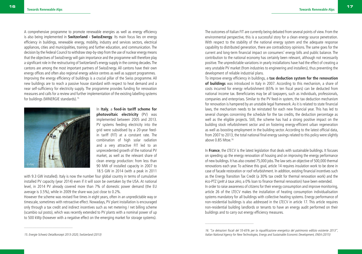A comprehensive programme to promote renewable energies as well as energy efficiency is also being implemented in **Switzerland - SwissEnergy**. Its main focus lies on energy efficiency in buildings, renewable energy, mobility, industry and services sectors, electrical appliances, cities and municipalities, training and further education, and communication. The decision by the Federal Council to withdraw step-by-step from the use of nuclear energy means that the objectives of SwissEnergy will gain importance and the programme will therefore play a significant role in the restructuring of Switzerland's energy supply in the coming decades. The cantons are among the most important partners of SwissEnergy. All cantons have their own energy offices and often also regional energy advice centres as well as support programmes. Improving the energy efficiency of buildings is a crucial pillar of the Swiss programme. All new buildings are to reach a passive house standard with respect to heat demand and a near self-sufficiency for electricity supply. The programme provides funding for renovation measures and calls for a review and further implementation of the existing labelling systems for buildings (MINERGIE standards).<sup>15</sup>



In **Italy**, a **feed-in tariff scheme for photovoltaic electricity** (PV) was implemented between 2005 and 2013. PV systems feeding electricity into the grid were subsidised by a 20-year feedin tariff (FIT) at a constant rate. The combination of high solar radiation and a very attractive FIT led to an unprecedented growth of the national PV market, as well as the relevant share of clean energy production: from less than 90 MW of installed capacity in 2007 to 18.5 GW in 2014 (with a peak in 2011

with 9.3 GW installed). Italy is now the number four global country in terms of cumulative installed PV capacity (year 2014) even if it will soon be overtaken by the USA. At national level, in 2014 PV already covered more than 7% of domestic power demand (the EU average is 3.5%), while in 2009 the share was just close to 0.2%.

However the scheme was revised five times in eight years, often in an unpredictable way or timescale, sometimes with retroactive effect. Nowadays, PV plant installation is encouraged only through a tax credit and indirect incentives such as net metering / net billing scheme (scambio sul posto), which was recently extended to PV plants with a nominal power of up to 500 kWp (however with a negative effect on the emerging market for storage systems).

The outcomes of Italian FIT are currently being debated from several points of view. From the environmental perspective, this is a successful story for a clean energy source penetration. With respect to the stability of the national energy system and the adequate response capability to distributed generation, there are contradictory opinions. The same goes for the current and long-term financial impact on consumers' energy bills and public balance. The contribution to the national economy has certainly been relevant, although not necessarily positive. The unpredictable variations in yearly installations have had the effect of creating a very unstable PV market (from industries to engineering and installers), thus preventing the development of reliable industrial plans.

To improve energy efficiency in buildings, a **tax deduction system for the renovation of buildings** was introduced in Italy in 2007. According to this mechanism, a share of costs incurred for energy refurbishment (65% in ten fiscal years) can be deducted from national income tax. Beneficiaries may be all taxpayers, such as individuals, professionals, companies and enterprises. Similar to the PV feed-in system, the tax deduction mechanism for renovation is hampered by an unstable legal framework. As it is related to state financial laws, the mechanism needs to be reinstated for each new financial year. This has led to several changes concerning the schedule for the tax credits, the deduction percentage as well as the eligible projects. Still, the scheme has had a strong positive impact on the building stock refurbishment sector and on fostering energy-efficient urban regeneration as well as boosting employment in the building sector. According to the latest official data, from 2007 to 2013, the total national final energy savings related to this policy were slightly above 0.85 Mtoe.16

In **France**, the LTECV is the latest legislation that deals with sustainable buildings. It focuses on speeding up the energy renovation of housing and on improving the energy performance of new buildings. It has also created 75,000 jobs. The law sets an objective of 500,000 thermal renovations each year. To achieve this goal, article 14 requires insulation work to be done in case of facade restoration or roof refurbishment. In addition, existing financial incentives such as the Energy Transition Tax Credit (a 30% tax credit for thermal renovation work) and the éco-PTZ (prêt à taux zéro, a 0% loan to finance thermal renovation) have been extended. In order to raise awareness of citizens for their energy consumption and improve monitoring, article 26 of the LTECV makes the installation of heating consumption individualisation systems mandatory for all buildings with collective heating systems. Energy performance of non-residential buildings is also addressed in the LTECV in article 17. This article requires non-residential building landlords or tenants to have an energy audit performed on their buildings and to carry out energy efficiency measures.

\_\_\_\_\_\_\_\_\_\_\_\_\_\_\_\_\_\_\_\_\_\_\_\_

<sup>16. &</sup>quot;Le detrazioni fiscali del 55-65% per la riqualificazione energetica del patrimonio edilizio esistente 2013", Italian National Agency for New Technologies, Energy and Sustainable Economic Development, ENEA (2015)

<sup>15.</sup> Energie Schweiz Detailkonzept 2013-2020, Switzerland (2013)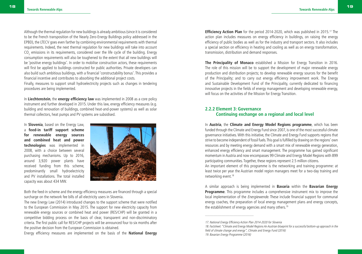Although the thermal regulation for new buildings is already ambitious (since it is considered to be the French transposition of the Nearly Zero-Energy Buildings policy addressed in the EPBD), the LTECV goes even farther by combining environmental requirements with thermal requirements. Indeed, the next thermal regulation for new buildings will take into account CO $_{_2}$  emissions in its requirements, considered over the life cycle of the building. Energy consumption requirements will also be toughened to the extent that all new buildings will be 'positive energy buildings'. In order to mobilise construction actors, these requirements will first be applied to buildings constructed for public authorities. Private developers can also build such ambitious buildings, with a financial 'constructability bonus'. This provides a financial incentive and contributes to absorbing the additional project costs.

Finally, measures to support small hydroelectricity projects such as changes in tendering procedures are being implemented.

In **Liechtenstein**, the **energy efficiency law** was implemented in 2008 as a core policy instrument and further developed in 2015. Under this law, energy efficiency measures (e.g. building and renovation of buildings, combined heat-and-power systems) as well as solar thermal collectors, heat pumps and PV systems are subsidised.

In **Slovenia**, based on the Energy Law, a **feed-in tariff support scheme for renewable energy sources and combined heat and power technologies** was implemented in 2008, with a choice between several purchasing mechanisms. Up to 2016, around 3,920 power plants have received funding from this scheme, predominantly small hydroelectricity and PV installations. The total installed capacity was about 434 MW.



Both the feed-in scheme and the energy efficiency measures are financed through a special surcharge on the network fee bills of all electricity users in Slovenia.

The new Energy Law (2014) introduced changes to the support scheme that were notified to the European Commission in May 2015. The support for new electricity capacity from renewable energy sources or combined heat and power (RES/CHP) will be granted in a competitive bidding process on the basis of clear, transparent and non-discriminatory criteria. The first public call for RES/CHP projects will be announced four to six months after the positive decision from the European Commission is obtained.

Energy efficiency measures are implemented on the basis of the **National Energy** 

**Efficiency Action Plan** for the period 2014-2020, which was published in 2015.<sup>17</sup> The action plan includes measures on energy efficiency in buildings, on raising the energy efficiency of public bodies as well as for the industry and transport sectors. It also includes a special section on efficiency in heating and cooling as well as on energy transformation, transmission, distribution and demand responses.

**The Principality of Monaco** established a Mission for Energy Transition in 2016. The role of this mission will be to support the development of major renewable energy production and distribution projects; to develop renewable energy sources for the benefit of the Principality; and to carry out energy efficiency improvement work. The Energy and Sustainable Development Fund of the Principality, currently dedicated to financing innovative projects in the fields of energy management and developing renewable energy, will focus on the activities of the Mission for Energy Transition.

#### **2.2.2 Element 3: Governance Continuing exchange on a regional and local level**

In **Austria**, the **Climate and Energy Model Regions programme**, which has been funded through the Climate and Energy Fund since 2007, is one of the most successful climate governance initiatives. With this initiative, the Climate and Energy Fund supports regions that strive to become independent of fossil fuels. This goal is fulfilled by drawing on the regions' own resources and by meeting energy demand with a smart mix of renewable energy generation, enhanced energy efficiency and smart management. The programme has gained significant momentum in Austria and now encompasses 99 Climate and Energy Model Regions with 899 participating communities. Together, these regions represent 2.5 million citizens. An important element of this programme is the networking and training programme: at least twice per year the Austrian model region managers meet for a two-day training and networking event.<sup>18</sup>

A similar approach is being implemented in **Bavaria** within the **Bavarian Energy Programme**. This programme includes a comprehensive instrument mix to improve the local implementation of the *Energiewende*. These include financial support for communal energy coaches, the preparation of local energy management plans and energy concepts, the establishment of energy agencies and many others.<sup>19</sup>

<sup>17.</sup> National Energy Efficiency Action Plan 2014-2020 for Slovenia

<sup>18.</sup> Factsheet: "Climate and Energy Model Regions An Austrian blueprint for a successful bottom-up approach in the field of climate change and energy", Climate and Energy Fund (2016) 19. Bavarian Energy Programme (2016)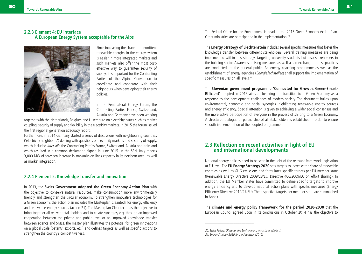#### **2.2.3 Element 4: EU interface A European Energy System acceptable for the Alps**



Since increasing the share of intermittent renewable energies in the energy system is easier in more integrated markets and such markets also offer the most costeffective way to guarantee security of supply, it is important for the Contracting Parties of the Alpine Convention to coordinate and cooperate with their neighbours when developing their energy policies.

In the Pentalateral Energy Forum, the Contracting Parties France, Switzerland, Austria and Germany have been working

together with the Netherlands, Belgium and Luxemburg on electricity issues such as market coupling, security of supply and flexibility in the electricity markets. In 2015 the forum issued the first regional generation adequacy report.

Furthermore, in 2014 Germany started a series of discussions with neighbouring countries ('electricity neighbours') dealing with questions of electricity markets and security of supply, which included *inter alia* the Contracting Parties France, Switzerland, Austria and Italy, and which resulted in a common declaration signed in June 2015. In the SEN, Italy reports 3,000 MW of foreseen increase in transmission lines capacity in its northern area, as well as market integration.

#### **2.2.4 Element 5: Knowledge transfer and innovation**

In 2013, the **Swiss Government adopted the Green Economy Action Plan** with the objective to conserve natural resources, make consumption more environmentally friendly and strengthen the circular economy. To strengthen innovative technologies for a Green Economy, the action plan includes the Masterplan Cleantech for energy efficiency and renewable energy sources (action 21). The Masterplan Cleantech has the objective to bring together all relevant stakeholders and to create synergies, e.g. through an improved cooperation between the private and public level or an improved knowledge transfer between science and SMEs. The master plan illustrates the potential for green innovations on a global scale (patents, exports, etc.) and defines targets as well as specific actions to strengthen the country's competitiveness.

The Federal Office for the Environment is heading the 2013 Green Economy Action Plan. Other ministries are participating in the implementation.20

The **Energy Strategy of Liechtenstein** includes several specific measures that foster the knowledge transfer between different stakeholders. Several training measures are being implemented within this strategy, targeting university students but also stakeholders in the building sector. Awareness raising measures as well as an exchange of best practices are conducted for the general public. An energy coaching programme as well as the establishment of energy agencies (*Energiefachstellen*) shall support the implementation of specific measures on all levels.<sup>21</sup>

The **Slovenian government programme 'Connected for Growth, Green-Smart-Efficient'** adopted in 2015 aims at fostering the transition to a Green Economy as a response to the development challenges of modern society. The document builds upon environmental, economic and social synergies, highlighting renewable energy sources and energy efficiency. Special attention is given to achieving a wider social consensus and the more active participation of everyone in the process of shifting to a Green Economy. A structured dialogue or partnership of all stakeholders is established in order to ensure smooth implementation of the adopted programme.

#### **2.3 Reflection on recent activities in light of EU and international developments**

National energy policies need to be seen in the light of the relevant framework legislation at EU level. The **EU Energy Strategy 2020** sets targets to increase the share of renewable energies as well as GHG emissions and formulates specific targets per EU member state (Renewable Energy Directive 2009/28/EC, Directive 406/2009/EC on effort sharing). In addition, the EU Member States have committed to define specific targets to improve energy efficiency and to develop national action plans with specific measures (Energy Efficiency Directive 2012/27/EU). The respective targets per member state are summarized in Annex 1.

The **climate and energy policy framework for the period 2020-2030** that the European Council agreed upon in its conclusions in October 2014 has the objective to

20. Swiss Federal Office for the Environment, www.bafu.admin.ch

<sup>21.</sup> Energy Strategy 2020 for Liechtenstein (2012)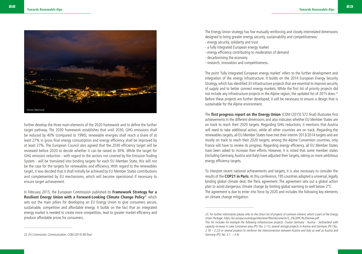

further develop the three main elements of the 2020 framework and to define the further target pathway. The 2030 framework establishes that until 2030, GHG emissions shall be reduced by 40% (compared to 1990), renewable energies shall reach a share of at least 27% in gross final energy consumption and energy efficiency shall be improved by at least 27%. The European Council also agreed that the 2030 efficiency target will be reviewed before 2020 to decide whether it can be raised to 30%. While the target for GHG emission reduction - with regard to the sectors not covered by the Emission Trading System - will be translated into binding targets for each EU Member State, this will not be the case for the targets for renewables and efficiency. With regard to the renewables target, it was decided that it shall initially be achieved by EU Member States contributions and complemented by EU mechanisms, which will become operational if necessary to ensure target achievement.

In February 2015, the European Commission published its **Framework Strategy for a Resilient Energy Union with a Forward-Looking Climate Change Policy<sup>22</sup> which** sets out the main pillars for developing an EU Energy Union to give consumers secure, sustainable, competitive and affordable energy. It builds on the fact that an integrated energy market is needed to create more competition, lead to greater market efficiency and produce affordable prices for consumers.

The Energy Union strategy has five mutually reinforcing and closely interrelated dimensions designed to bring greater energy security, sustainability and competitiveness:

- energy security, solidarity and trust
- a fully integrated European energy market
- energy efficiency contributing to moderation of demand
- decarbonising the economy

\_\_\_\_\_\_\_\_\_\_\_\_\_\_\_\_\_\_\_\_\_\_\_\_

- research, innovation and competitiveness.

The point 'fully integrated European energy market' refers to the further development and integration of the energy infrastructure. It builds on the 2014 European Energy Security Strategy, which has identified 33 infrastructure projects that are essential to improve security of supply and to better connect energy markets. While the first list of priority projects did not include any infrastructure projects in the Alpine region, the updated list of 2015 does.<sup>23</sup> Before these projects are further developed, it will be necessary to ensure a design that is sustainable for the Alpine environment.

The **first progress report on the Energy Union** (COM (2015) 572 final) illustrates first achievements in the different dimensions and also indicates whether EU Member States are on track to reach their 2020 targets. Regarding GHG reductions, it mentions that Austria will need to take additional action, while all other countries are on track. Regarding the renewables targets, all EU Member States have met their interim 2013/2014 targets and are mostly on track to reach their 2020 targets; among the Alpine Convention countries, only France will have to review its progress. Regarding energy efficiency, all EU Member States have been asked to increase their efforts. However, it is noted that some member states (including Germany, Austria and Italy) have adjusted their targets, taking on more ambitious energy efficiency targets.

To interpret recent national achievements and targets, it is also necessary to consider the results of the **COP21 in Paris**. At this conference, 195 countries adopted a universal, legally binding global climate deal, the Paris agreement. The agreement sets out a global action plan to avoid dangerous climate change by limiting global warming to well below 2°C. The agreement is due to enter into force by 2020 and includes the following key elements on climate change mitigation:

<sup>23.</sup> For further information please refer to the Union list of projects of common interest, which is part of the Energy Union Package: https://ec.europa.eu/energy/sites/ener/files/documents/5\_2%20PCI%20annex.pdf This list includes for example the following infrastructure projects: Cluster Germany - Austria - Switzerland with capacity increase in Lake Constance area (PCI No. 2.11), several storage projects in Austria and Germany (PCI No., 2.18 – 2.22) or several projects to reinforce the interconnection between Austria and Italy as well as Austria and Germany (PCI No. 3.1. – 3.4).

<sup>22.</sup> EU Commission, Communication, COM (2015) 80 final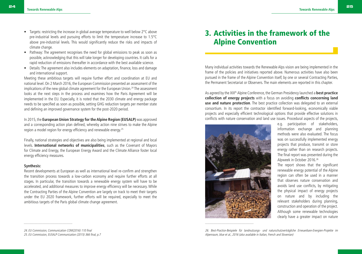- Targets: restricting the increase in global average temperature to well below 2°C above pre-industrial levels and pursuing efforts to limit the temperature increase to 1.5°C above pre-industrial levels. This would significantly reduce the risks and impacts of climate change.
- Pathway: The agreement recognises the need for global emissions to peak as soon as possible, acknowledging that this will take longer for developing countries. It calls for a rapid reduction of emissions thereafter in accordance with the best available science.
- Details: The agreement also includes elements on adaptation, finance, loss and damage and international support.

Meeting these ambitious targets will require further effort and coordination at EU and national level. On 2 March 2016, the European Commission presented an assessment of the implications of the new global climate agreement for the European Union.<sup>24</sup> The assessment looks at the next steps in the process and examines how the Paris Agreement will be implemented in the EU. Especially, it is noted that the 2030 climate and energy package needs to be specified as soon as possible, setting GHG reduction targets per member state and defining an improved governance system for the post-2020 period.

In 2015, the **European Union Strategy for the Alpine Region (EUSALP)** was approved and a corresponding action plan defined, whereby action nine strives to make the Alpine region a model region for energy efficiency and renewable energy.25

Finally, national strategies and objectives are also being implemented at regional and local levels. **International networks of municipalities**, such as the Covenant of Mayors for Climate and Energy, the European Energy Award and the Climate Alliance foster local energy efficiency measures.

#### **Synthesis:**

Recent developments at European as well as international level re-confirm and strengthen the transition process towards a low-carbon economy and require further efforts at all stages. In particular, the transition towards a renewable energy system will have to be accelerated, and additional measures to improve energy efficiency will be necessary. While the Contracting Parties of the Alpine Convention are largely on track to meet their targets under the EU 2020 framework, further efforts will be required, especially to meet the ambitious targets of the Paris global climate change agreement.

Many individual activities towards the Renewable Alps vision are being implemented in the frame of the policies and initiatives reported above. Numerous activities have also been pursued in the frame of the Alpine Convention itself, by one or several Contracting Parties, the Permanent Secretariat or Observers. The main elements are reported in this chapter.

As agreed by the XIII<sup>th</sup> Alpine Conference, the German Presidency launched a **best practice collection of energy projects** with a focus on avoiding **conflicts concerning land use and nature protection**. The best practice collection was delegated to an external consortium. In its report the contractor identified forward-looking, economically viable projects and especially efficient technological options that provide effective solutions in conflicts with nature conservation and land use issues. Procedural aspects of the projects,



e.g. participation of stakeholders, information exchange and planning methods were also evaluated. The focus was on successfully implemented energy projects that produce, transmit or store energy rather than on research projects. The final report was presented during the Alpweek in October 2016.26

The report shows that the significant renewable energy potential of the Alpine region can often be used in a manner that observes nature conservation and avoids land use conflicts, by mitigating the physical impact of energy projects on nature and by including the relevant stakeholders during planning, construction and operation of the project. Although some renewable technologies clearly have a greater impact on nature

<sup>3.</sup> Activities in the framework of the Alpine Convention

<sup>24.</sup> EU Commission, Communication COM(2016) 110 final 25. EU Commission, EUSALP Communication (2015) 366 final, p.7

<sup>26.</sup> Best-Practice-Beispiele für landnutzungs- und naturschutzverträgliche Erneuerbare-Energien-Projekte im Alpenraum, blue et al., 2016 (also available in Italian, French and Slovenian)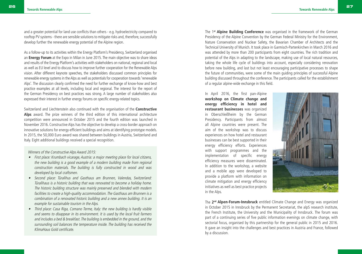and a greater potential for land use conflicts than others - e.g. hydroelectricity compared to rooftop PV systems - there are sensible solutions to mitigate risks and, therefore, successfully develop further the renewable energy potential of the Alpine region.

As a follow-up to its activities within the Energy Platform's Presidency, Switzerland organised an **Energy Forum** at the Expo in Milan in June 2015. The main objective was to share ideas and results of the Energy Platform's activities with stakeholders on national, regional and local as well as EU level and to discuss how to improve further cooperation for the Renewable Alps vision. After different keynote speeches, the stakeholders discussed common principles for renewable energy systems in the Alps as well as potentials for cooperation towards 'renewable Alps'. The discussion clearly confirmed the need for further exchange of know-how and best practice examples at all levels, including local and regional. The interest for the report of the German Presidency on best practices was strong. A large number of stakeholders also expressed their interest in further energy forums on specific energy-related topics.

Switzerland and Liechtenstein also continued with the organisation of the **Constructive Alps** award. The prize winners of the third edition of this international architecture competition were announced in October 2015 and the fourth edition was launched in November 2016. Constructive Alps has the objective to develop a cross-border approach on innovative solutions for energy-efficient buildings and aims at identifying prototype models. In 2015, the 50,000 Euro award was shared between buildings in Austria, Switzerland and Italy. Eight additional buildings received a special recognition.

Winners of the Constructive Alps Award 2015:

- First place: Krumbach vicarage, Austria: a major meeting place for local citizens, the new building is a good example of a modern building made from regional construction materials. The building is fully constructed in wood and was developed by local craftsmen.
- Second place: Türalihus and Gasthaus am Brunnen, Valendas, Switzerland: Türalihaus is a historic building that was renovated to become a holiday home. The historic building structure was mainly preserved and blended with modern facilities to create a high-quality accommodation. The Gasthaus am Brunnen is a combination of a renovated historic building and a new annex building. It is an example for sustainable tourism in the Alps.
- Third place: Casa Riga, Comano Terme, Italy: the new building is hardly visible and seems to disappear in its environment. It is used by the local fruit farmers and includes a bed & breakfast. The building is embedded in the ground, and the surrounding soil balances the temperature inside. The building has received the KlimaHaus Gold certificate.

The 1**st Alpine Building Conference** was organised in the framework of the German Presidency of the Alpine Convention by the German Federal Ministry for the Environment, Nature Conservation and Nuclear Safety, the Bavarian Chamber of Architects and the Technical University of Munich. It took place in Garmisch-Partenkirchen in March 2016 and was attended by more than 200 participants from eight countries. The rich tradition and potential of the Alps in adapting to the landscape, making use of local natural resources, taking the whole life cycle of buildings into account, especially considering renovation before new building, and last but not least encouraging participative processes to shape the future of communities, were some of the main guiding principles of successful Alpine building discussed throughout the conference. The participants called for the establishment of a regular alpine-wide exchange in this field.

In April 2016, the first pan-Alpine **workshop on Climate change and energy efficiency in hotel and restaurant businesses** was organized in Oberschleißheim by the German Presidency. Participants from almost all Alpine countries were present. The aim of the workshop was to discuss experiences on how hotel and restaurant businesses can be best supported in their energy efficiency efforts. Experiences with support programmes and the implementation of specific energy efficiency measures were disseminated. In addition to the workshop, a website and a mobile app were developed to provide a platform with information on climate mitigation and energy efficiency initiatives as well as best practice projects in the Alps.



The **2nd Alpen-Forum-Innsbruck** entitled Climate Change and Energy was organized in October 2015 in Innsbruck by the Permanent Secretariat, the alpS research institute, the French Institute, the University and the Municipality of Innsbruck. The forum was part of a continuing series of five public information evenings on climate change, with sectorial focus, organised by this partnership for the general public in 2015 and 2016. It gave an insight into the challenges and best practices in Austria and France, followed by a discussion.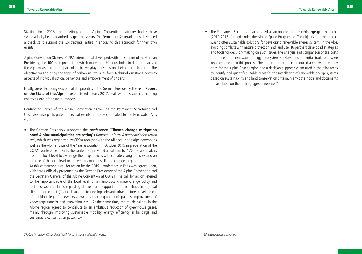Starting from 2015, the meetings of the Alpine Convention statutory bodies have systematically been organized as **green events**. The Permanent Secretariat has developed a checklist to support the Contracting Parties in endorsing this approach for their own events.

Alpine Convention Observer CIPRA International developed, with the support of the German Presidency, the **100max project**, in which more than 70 households in different parts of the Alps measured the impact of their everyday activities on their carbon footprint. The objective was to bring the topic of carbon-neutral Alps from technical questions down to aspects of individual action, behaviour and empowerment of citizens.

Finally, Green Economy was one of the priorities of the German Presidency. The sixth **Report on the State of the Alps**, to be published in early 2017, deals with this subject, including energy as one of the major aspects.

Contracting Parties of the Alpine Convention as well as the Permanent Secretariat and Observers also participated in several events and projects related to the Renewable Alps vision:

• The German Presidency supported the **conference 'Climate change mitigation now! Alpine municipalities are acting'** (Klimaschutz jetzt! Alpengemeinden setzen um), which was organized by CIPRA together with the Alliance in the Alps network as well as the Alpine Town of the Year association in October 2015 in preparation of the COP21 conference in Paris. The conference provided a platform for 120 decision makers from the local level to exchange their experiences with climate change policies and on the role of the local level to implement ambitious climate change targets.

At this conference, a call for action for the COP21 conference in Paris was agreed upon, which was officially presented by the German Presidency of the Alpine Convention and the Secretary General of the Alpine Convention at COP21. The call for action referred to the important role of the local level for an ambitious climate change policy and included specific claims regarding the role and support of municipalities in a global climate agreement (financial support to develop relevant infrastructure, development of ambitious legal frameworks as well as coaching for municipalities, improvement of knowledge transfer and innovation, etc.). At the same time, the municipalities in the Alpine region agreed to contribute to an ambitious reduction of greenhouse gases, mainly through improving sustainable mobility, energy efficiency in buildings and sustainable consumption patterns.<sup>27</sup>

• The Permanent Secretariat participated as an observer in the **recharge.green** project (2012-2015) funded under the Alpine Space Programme. The objective of the project was to offer sustainable solutions for developing renewable energy systems in the Alps, avoiding conflicts with nature protection and land use. 16 partners developed strategies and tools for decision-making on such issues. The analysis and comparison of the costs and benefits of renewable energy, ecosystem services, and potential trade-offs were key components in this process. The project, for example, produced a renewable energy atlas for the Alpine Space region and a decision support system used in the pilot areas to identify and quantify suitable areas for the installation of renewable energy systems based on sustainability and land conservation criteria. Many other tools and documents are available on the recharge.green website.<sup>28</sup>

\_\_\_\_\_\_\_\_\_\_\_\_\_\_\_\_\_\_\_\_\_\_\_\_

<sup>27.</sup> Call for action: Klimaschutz jetzt! (climate change mitigation now!)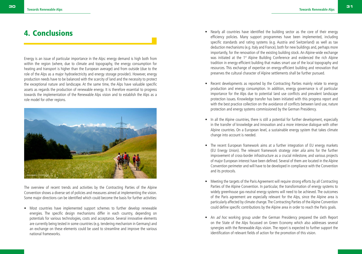## 4. Conclusions

Energy is an issue of particular importance in the Alps: energy demand is high both from within the region (where, due to climate and topography, the energy consumption for heating and transport is higher than the European average) and from outside (due to the role of the Alps as a major hydroelectricity and energy storage provider). However, energy production needs have to be balanced with the scarcity of land and the necessity to protect the exceptional nature and landscape. At the same time, the Alps have valuable specific assets as regards the production of renewable energy. It is therefore essential to progress towards the implementation of the Renewable Alps vision and to establish the Alps as a role model for other regions.



The overview of recent trends and activities by the Contracting Parties of the Alpine Convention shows a diverse set of policies and measures aimed at implementing the vision. Some major directions can be identified which could become the basis for further activities:

• Most countries have implemented support schemes to further develop renewable energies. The specific design mechanisms differ in each country, depending on potentials for various technologies, costs and acceptance. Several innovative elements are currently being tested in some countries (e.g. tendering mechanism in Germany) and an exchange on these elements could be used to streamline and improve the various national frameworks.

- Nearly all countries have identified the building sector as the core of their energy efficiency policies. Many support programmes have been implemented, including specific standards and rating systems (e.g. Austria and Switzerland) as well as tax deduction mechanisms (e.g. Italy and France), both for new buildings and, perhaps more importantly, for the renovation of the existing building stock. An Alpine-wide exchange was initiated at the 1<sup>st</sup> Alpine Building Conference and evidenced the rich Alpine tradition in energy-efficient building that makes smart use of the local topography and resources. This exchange of expertise on energy-efficient building and renovation that preserves the cultural character of Alpine settlements shall be further pursued.
- Recent developments as reported by the Contracting Parties mainly relate to energy production and energy consumption. In addition, energy governance is of particular importance for the Alps due to potential land use conflicts and prevalent landscape protection issues. Knowledge transfer has been initiated with this progress report and with the best practice collection on the avoidance of conflicts between land use, nature protection and energy systems commissioned by the German Presidency.
- In all the Alpine countries, there is still a potential for further development, especially in the transfer of knowledge and innovation and a more intensive dialogue with other Alpine countries. On a European level, a sustainable energy system that takes climate change into account is needed.
- The recent European framework aims at a further integration of EU energy markets (EU Energy Union). The relevant framework strategy inter alia aims for the further improvement of cross-border infrastructure as a crucial milestone, and various projects of major European interest have been defined. Several of them are located in the Alpine Convention perimeter and will have to be developed in compliance with the Convention and its protocols.
- Meeting the targets of the Paris Agreement will require strong efforts by all Contracting Parties of the Alpine Convention. In particular, the transformation of energy systems to widely greenhouse gas-neutral energy systems will need to be achieved. The outcomes of the Paris agreement are especially relevant for the Alps, since the Alpine area is particularly affected by climate change. The Contracting Parties of the Alpine Convention could define specific contributions by the Alpine area in order to reach the Paris goals.
- An *ad hoc* working group under the German Presidency prepared the sixth Report on the State of the Alps focussed on Green Economy which also addresses several synergies with the Renewable Alps vision. The report is expected to further support the identification of relevant fields of action for the promotion of this vision.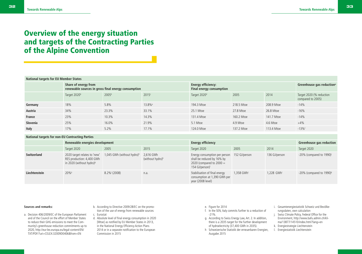# Overview of the energy situation and targets of the Contracting Parties

# of the Alpine Convention

|          | Share of energy from<br>renewable sources in gross final energy consumption |                   |                    | <b>Energy efficiency:</b><br><b>Final energy consumption</b> |            |            | Greenhouse gas reduction <sup>a</sup>         |  |
|----------|-----------------------------------------------------------------------------|-------------------|--------------------|--------------------------------------------------------------|------------|------------|-----------------------------------------------|--|
|          | Target 2020b                                                                | 2005 <sup>b</sup> | 2015c              | Target 2020 <sup>d</sup>                                     | 2005       | 2014       | Target 2020 (% reduction<br>compared to 2005) |  |
| Germany  | 18%                                                                         | 5.8%              | 13.8% <sup>e</sup> | 194.3 Mtoe                                                   | 218.5 Mtoe | 208.9 Mtoe | $-14%$                                        |  |
| Austria  | 34%                                                                         | 23.3%             | 33.1%              | 25.1 Mtoe                                                    | 27.8 Mtoe  | 26.8 Mtoe  | $-16%$                                        |  |
| France   | 23%                                                                         | 10.3%             | 14.3%              | 131.4 Mtoe                                                   | 160.2 Mtoe | 141.7 Mtoe | $-14%$                                        |  |
| Slovenia | 25%                                                                         | 16.0%             | 21.9%              | 5.1 Mtoe                                                     | 4.9 Mtoe   | 4.6 Mtoe   | $+4%$                                         |  |
| Italy    | 17%                                                                         | 5.2%              | 17.1%              | 124.0 Mtoe                                                   | 137.2 Mtoe | 113.4 Mtoe | $-13%$                                        |  |

#### **National targets for non-EU Contracting Parties**

|               | Renewable energies development                                                                    |                                        |                                           | <b>Energy efficiency</b>                                                                                                               |            |                          | <b>Greenhouse gas reduction</b>         |
|---------------|---------------------------------------------------------------------------------------------------|----------------------------------------|-------------------------------------------|----------------------------------------------------------------------------------------------------------------------------------------|------------|--------------------------|-----------------------------------------|
|               | Target 2020                                                                                       | 2005                                   | 2015                                      | Target 2020                                                                                                                            | 2005       | 2014                     | Target 2020                             |
| Switzerland   | 2020 target relates to 'new'<br>RES production: 4,400 GWh<br>in 2020 (without hydro) <sup>9</sup> | 1,045 GWh (without hydro) <sup>h</sup> | 2.616 GWh<br>(without hydro) <sup>h</sup> | Energy consumption per person 152 GJ/person<br>shall be reduced by 16% by<br>2020 (compared to $2000 =$<br>154 GJ/person) <sup>i</sup> |            | 136 GJ/person            | $-20\%$ (compared to 1990)              |
| Liechtenstein | 20%                                                                                               | $8.2\%$ <sup><math>(2008)</math></sup> | n.a.                                      | Stabilisation of final energy<br>consumption at 1,390 GWh per<br>year (2008 level)                                                     | 1.358 GWh' | $1.228$ GWh <sup>1</sup> | $-20\%$ (compared to 1990) <sup>k</sup> |

#### **Sources and remarks:**

- a. Decision 406/2009/EC of the European Parliament and of the Council on the effort of Member States to reduce their GHG emissions to meet the Community's greenhouse reduction commitments up to 2020, http://eur-lex.europa.eu/legal-content/EN/ TXT/PDF/?uri=CELEX:32009D0406&from=EN
- b. According to Directive 2009/28/EC on the promotion of the use of energy from renewable sources c. Eurostat
- d. Absolute level of final energy consumption in 2020 [Mtoe] as notified by EU Member States in 2013, in the National Energy Efficiency Action Plans 2014 or in a separate notification to the European Commission in 2015
- e. Figure for 2014
- f. In the SEN, Italy commits further to a reduction of -21%.
- g. According to Swiss Energy Law, Art. 2. In addition, there is a 2035 target for the further development of hydroelectricity (37,400 GWh in 2035).
- h Schweizerische Statistik der erneuerbaren Energien, Ausgabe 2015
- i. Gesamtenergiestatistik Schweiz und Bevölkerungsdaten, own calculation
- j. Swiss Climate Policy, Federal Office for the Environment, http://www.bafu.admin.ch/klima/13877/14510/index.html?lang=en
- k. Energiestrategie Liechtenstein
- l. Energiestatistik Liechtenstein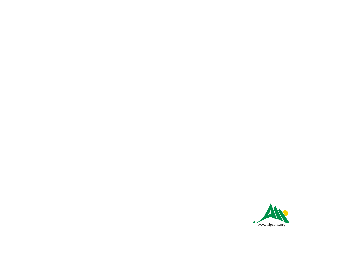